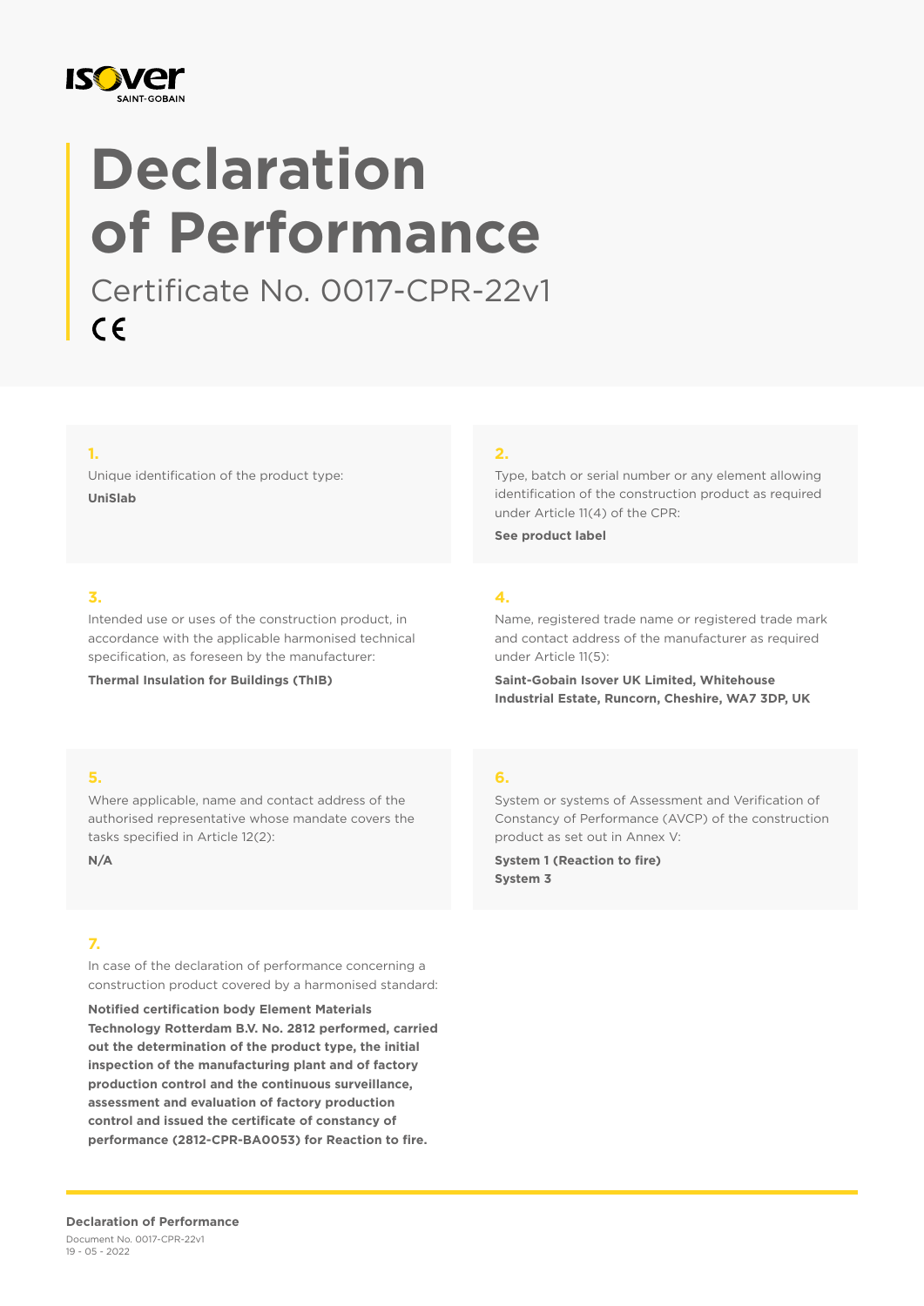

# **Declaration of Performance**

Certificate No. 0017-CPR-22v1 $C \in$ 

#### **1.**

Unique identification of the product type: **UniSlab**

#### **2.**

Type, batch or serial number or any element allowing identification of the construction product as required under Article 11(4) of the CPR:

**See product label**

#### **3.**

Intended use or uses of the construction product, in accordance with the applicable harmonised technical specification, as foreseen by the manufacturer:

**Thermal Insulation for Buildings (ThIB)**

## **4.**

Name, registered trade name or registered trade mark and contact address of the manufacturer as required under Article 11(5):

**Saint-Gobain Isover UK Limited, Whitehouse Industrial Estate, Runcorn, Cheshire, WA7 3DP, UK**

#### **5.**

Where applicable, name and contact address of the authorised representative whose mandate covers the tasks specified in Article 12(2):

**N/A**

#### **7.**

In case of the declaration of performance concerning a construction product covered by a harmonised standard:

**Notified certification body Element Materials Technology Rotterdam B.V. No. 2812 performed, carried out the determination of the product type, the initial inspection of the manufacturing plant and of factory production control and the continuous surveillance, assessment and evaluation of factory production control and issued the certificate of constancy of performance (2812-CPR-BA0053) for Reaction to fire.**

#### **6.**

System or systems of Assessment and Verification of Constancy of Performance (AVCP) of the construction product as set out in Annex V:

**System 1 (Reaction to fire) System 3**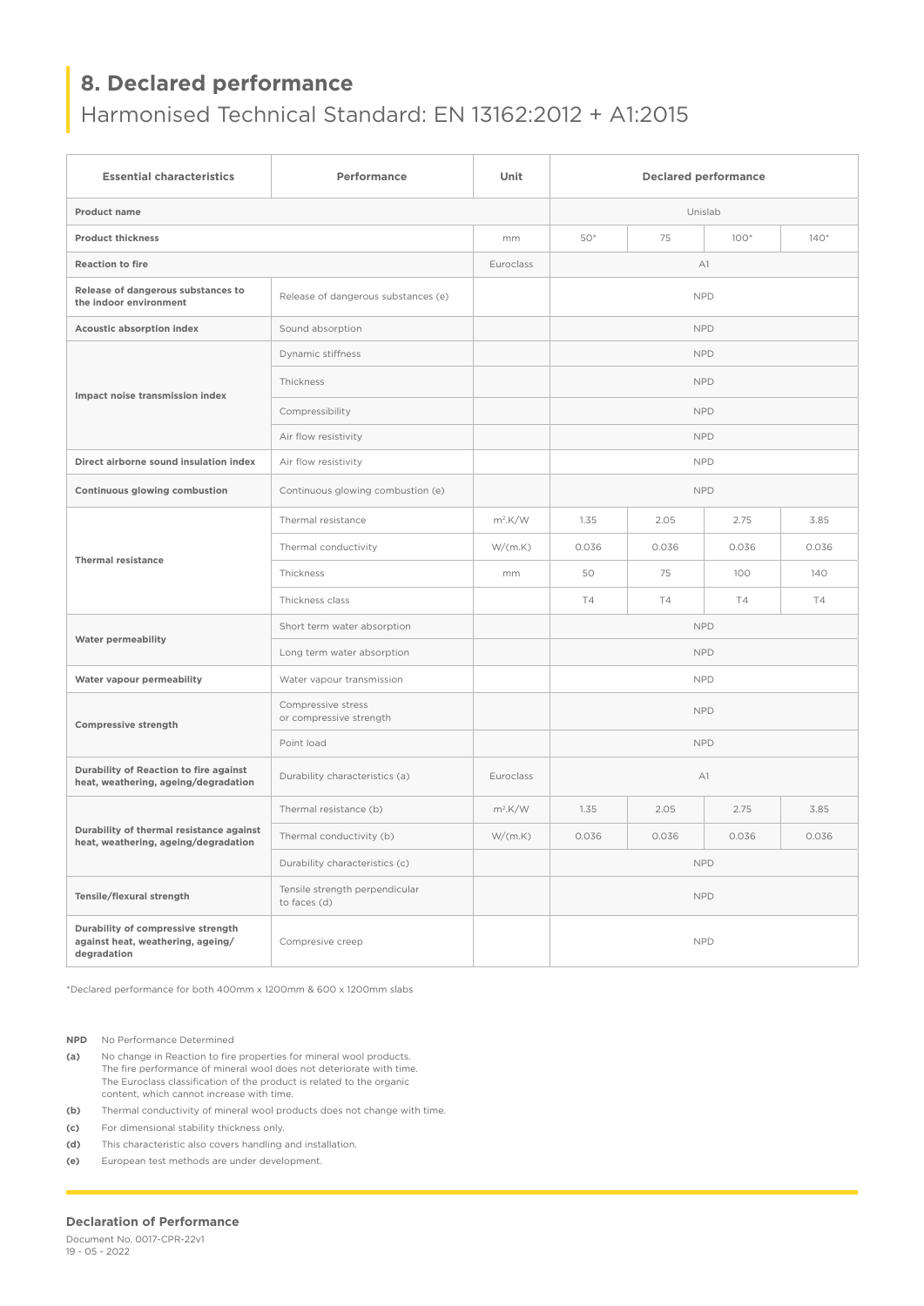## **8. Declared performance**

## Harmonised Technical Standard: EN 13162:2012 + A1:2015

| <b>Essential characteristics</b>                                                       | Performance                                    | Unit       | <b>Declared performance</b> |           |           |           |
|----------------------------------------------------------------------------------------|------------------------------------------------|------------|-----------------------------|-----------|-----------|-----------|
| <b>Product name</b>                                                                    |                                                |            | Unislab                     |           |           |           |
| <b>Product thickness</b>                                                               |                                                | mm         | 50*                         | 75        | $100*$    | $140*$    |
| <b>Reaction to fire</b>                                                                |                                                | Euroclass  | A1                          |           |           |           |
| Release of dangerous substances to<br>the indoor environment                           | Release of dangerous substances (e)            |            | <b>NPD</b>                  |           |           |           |
| <b>Acoustic absorption index</b>                                                       | Sound absorption                               |            | <b>NPD</b>                  |           |           |           |
| Impact noise transmission index                                                        | Dynamic stiffness                              |            | <b>NPD</b>                  |           |           |           |
|                                                                                        | Thickness                                      |            | <b>NPD</b>                  |           |           |           |
|                                                                                        | Compressibility                                |            | <b>NPD</b>                  |           |           |           |
|                                                                                        | Air flow resistivity                           |            | <b>NPD</b>                  |           |           |           |
| Direct airborne sound insulation index                                                 | Air flow resistivity                           |            | <b>NPD</b>                  |           |           |           |
| Continuous glowing combustion                                                          | Continuous glowing combustion (e)              |            | <b>NPD</b>                  |           |           |           |
| <b>Thermal resistance</b>                                                              | Thermal resistance                             | $m^2$ .K/W | 1.35                        | 2.05      | 2.75      | 3.85      |
|                                                                                        | Thermal conductivity                           | W/(m.K)    | 0.036                       | 0.036     | 0.036     | 0.036     |
|                                                                                        | Thickness                                      | mm         | 50                          | 75        | 100       | 140       |
|                                                                                        | Thickness class                                |            | <b>T4</b>                   | <b>T4</b> | <b>T4</b> | <b>T4</b> |
| <b>Water permeability</b>                                                              | Short term water absorption                    |            | <b>NPD</b>                  |           |           |           |
|                                                                                        | Long term water absorption                     |            | <b>NPD</b>                  |           |           |           |
| Water vapour permeability                                                              | Water vapour transmission                      |            | <b>NPD</b>                  |           |           |           |
| <b>Compressive strength</b>                                                            | Compressive stress<br>or compressive strength  |            | <b>NPD</b>                  |           |           |           |
|                                                                                        | Point load                                     |            | <b>NPD</b>                  |           |           |           |
| Durability of Reaction to fire against<br>heat, weathering, ageing/degradation         | Durability characteristics (a)                 | Euroclass  | A1                          |           |           |           |
| Durability of thermal resistance against<br>heat, weathering, ageing/degradation       | Thermal resistance (b)                         | $m^2$ .K/W | 1.35                        | 2.05      | 2.75      | 3.85      |
|                                                                                        | Thermal conductivity (b)                       | W/(m.K)    | 0.036                       | 0.036     | 0.036     | 0.036     |
|                                                                                        | Durability characteristics (c)                 |            | <b>NPD</b>                  |           |           |           |
| Tensile/flexural strength                                                              | Tensile strength perpendicular<br>to faces (d) |            | <b>NPD</b>                  |           |           |           |
| Durability of compressive strength<br>against heat, weathering, ageing/<br>degradation | Compresive creep                               |            | <b>NPD</b>                  |           |           |           |

\*Declared performance for both 400mm x 1200mm & 600 x 1200mm slabs

**NPD** No Performance Determined

- **(a)** No change in Reaction to fire properties for mineral wool products. The fire performance of mineral wool does not deteriorate with time. The Euroclass classification of the product is related to the organic content, which cannot increase with time.
- **(b)** Thermal conductivity of mineral wool products does not change with time.
- **(c)** For dimensional stability thickness only.
- **(d)** This characteristic also covers handling and installation.
- **(e)** European test methods are under development.

#### **Declaration of Performance**

Document No. 0017-CPR-22v1 19 - 05 - 2022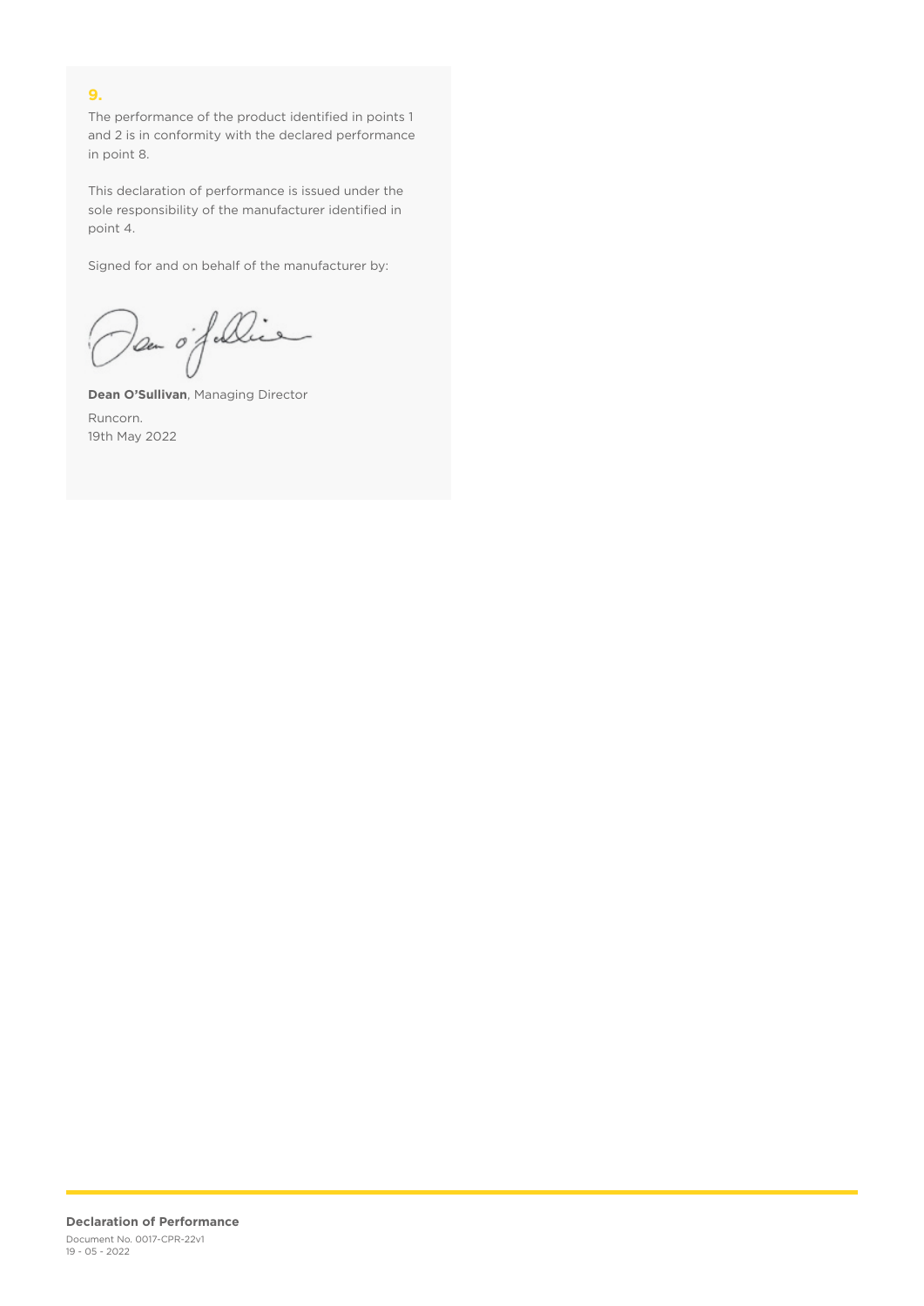### **9.**

The performance of the product identified in points 1 and 2 is in conformity with the declared performance in point 8.

This declaration of performance is issued under the sole responsibility of the manufacturer identified in point 4.

Signed for and on behalf of the manufacturer by:

Dan of Die

**Dean O'Sullivan**, Managing Director Runcorn. 19th May 2022